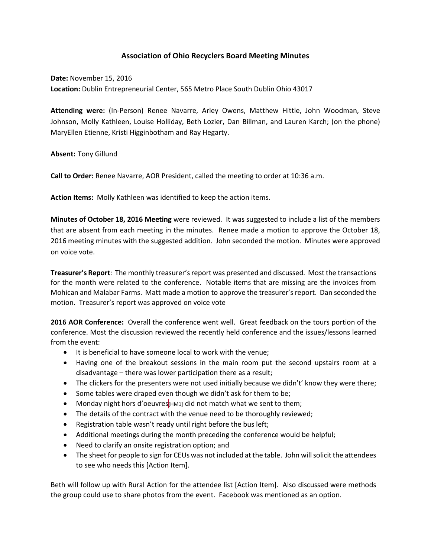# **Association of Ohio Recyclers Board Meeting Minutes**

**Date:** November 15, 2016 **Location:** Dublin Entrepreneurial Center, 565 Metro Place South Dublin Ohio 43017

**Attending were:** (In-Person) Renee Navarre, Arley Owens, Matthew Hittle, John Woodman, Steve Johnson, Molly Kathleen, Louise Holliday, Beth Lozier, Dan Billman, and Lauren Karch; (on the phone) MaryEllen Etienne, Kristi Higginbotham and Ray Hegarty.

**Absent:** Tony Gillund

**Call to Order:** Renee Navarre, AOR President, called the meeting to order at 10:36 a.m.

**Action Items:** Molly Kathleen was identified to keep the action items.

**Minutes of October 18, 2016 Meeting** were reviewed. It was suggested to include a list of the members that are absent from each meeting in the minutes. Renee made a motion to approve the October 18, 2016 meeting minutes with the suggested addition. John seconded the motion. Minutes were approved on voice vote.

**Treasurer's Report**: The monthly treasurer's report was presented and discussed. Most the transactions for the month were related to the conference. Notable items that are missing are the invoices from Mohican and Malabar Farms. Matt made a motion to approve the treasurer's report. Dan seconded the motion. Treasurer's report was approved on voice vote

**2016 AOR Conference:** Overall the conference went well. Great feedback on the tours portion of the conference. Most the discussion reviewed the recently held conference and the issues/lessons learned from the event:

- It is beneficial to have someone local to work with the venue;
- Having one of the breakout sessions in the main room put the second upstairs room at a disadvantage – there was lower participation there as a result;
- The clickers for the presenters were not used initially because we didn't' know they were there;
- Some tables were draped even though we didn't ask for them to be;
- Monday night hors d'oeuvres  $\parallel$   $\text{HMI}$  did not match what we sent to them;
- The details of the contract with the venue need to be thoroughly reviewed;
- Registration table wasn't ready until right before the bus left;
- Additional meetings during the month preceding the conference would be helpful;
- Need to clarify an onsite registration option; and
- The sheet for people to sign for CEUs was not included at the table. John will solicit the attendees to see who needs this [Action Item].

Beth will follow up with Rural Action for the attendee list [Action Item]. Also discussed were methods the group could use to share photos from the event. Facebook was mentioned as an option.